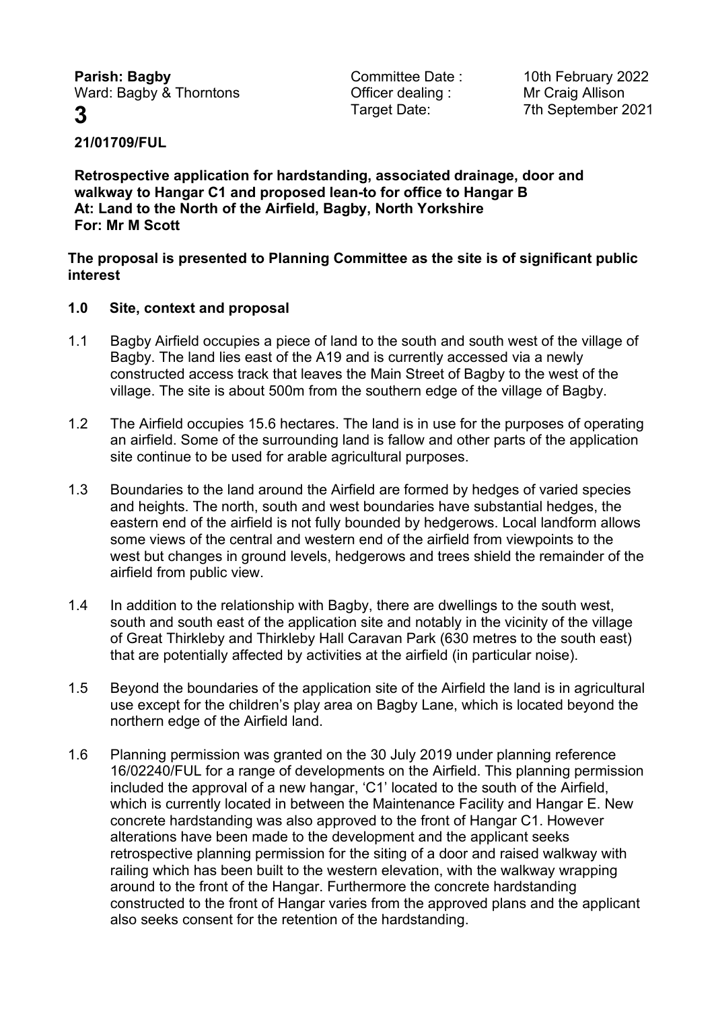**Parish: Bagby Committee Date : 10th February 2022** Ward: Bagby & Thorntons **Container Containg** : Mr Craig Allison

**3** Target Date: 7th September 2021

**21/01709/FUL**

**Retrospective application for hardstanding, associated drainage, door and walkway to Hangar C1 and proposed lean-to for office to Hangar B At: Land to the North of the Airfield, Bagby, North Yorkshire For: Mr M Scott**

**The proposal is presented to Planning Committee as the site is of significant public interest** 

# **1.0 Site, context and proposal**

- 1.1 Bagby Airfield occupies a piece of land to the south and south west of the village of Bagby. The land lies east of the A19 and is currently accessed via a newly constructed access track that leaves the Main Street of Bagby to the west of the village. The site is about 500m from the southern edge of the village of Bagby.
- 1.2 The Airfield occupies 15.6 hectares. The land is in use for the purposes of operating an airfield. Some of the surrounding land is fallow and other parts of the application site continue to be used for arable agricultural purposes.
- 1.3 Boundaries to the land around the Airfield are formed by hedges of varied species and heights. The north, south and west boundaries have substantial hedges, the eastern end of the airfield is not fully bounded by hedgerows. Local landform allows some views of the central and western end of the airfield from viewpoints to the west but changes in ground levels, hedgerows and trees shield the remainder of the airfield from public view.
- 1.4 In addition to the relationship with Bagby, there are dwellings to the south west, south and south east of the application site and notably in the vicinity of the village of Great Thirkleby and Thirkleby Hall Caravan Park (630 metres to the south east) that are potentially affected by activities at the airfield (in particular noise).
- 1.5 Beyond the boundaries of the application site of the Airfield the land is in agricultural use except for the children's play area on Bagby Lane, which is located beyond the northern edge of the Airfield land.
- 1.6 Planning permission was granted on the 30 July 2019 under planning reference 16/02240/FUL for a range of developments on the Airfield. This planning permission included the approval of a new hangar, 'C1' located to the south of the Airfield, which is currently located in between the Maintenance Facility and Hangar E. New concrete hardstanding was also approved to the front of Hangar C1. However alterations have been made to the development and the applicant seeks retrospective planning permission for the siting of a door and raised walkway with railing which has been built to the western elevation, with the walkway wrapping around to the front of the Hangar. Furthermore the concrete hardstanding constructed to the front of Hangar varies from the approved plans and the applicant also seeks consent for the retention of the hardstanding.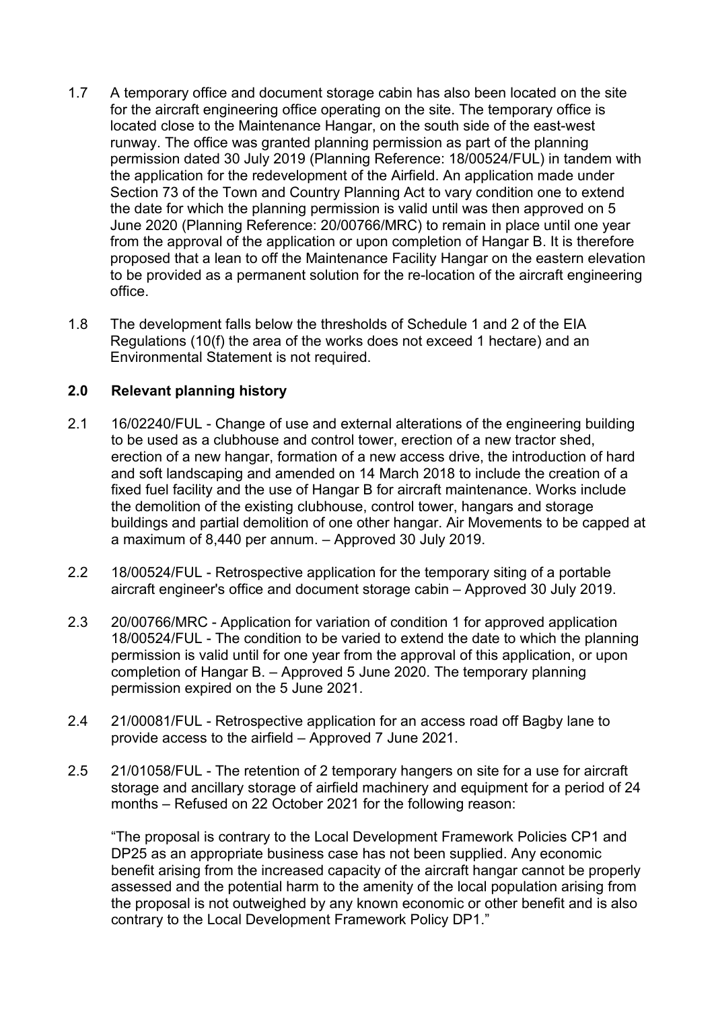- 1.7 A temporary office and document storage cabin has also been located on the site for the aircraft engineering office operating on the site. The temporary office is located close to the Maintenance Hangar, on the south side of the east-west runway. The office was granted planning permission as part of the planning permission dated 30 July 2019 (Planning Reference: 18/00524/FUL) in tandem with the application for the redevelopment of the Airfield. An application made under Section 73 of the Town and Country Planning Act to vary condition one to extend the date for which the planning permission is valid until was then approved on 5 June 2020 (Planning Reference: 20/00766/MRC) to remain in place until one year from the approval of the application or upon completion of Hangar B. It is therefore proposed that a lean to off the Maintenance Facility Hangar on the eastern elevation to be provided as a permanent solution for the re-location of the aircraft engineering office.
- 1.8 The development falls below the thresholds of Schedule 1 and 2 of the EIA Regulations (10(f) the area of the works does not exceed 1 hectare) and an Environmental Statement is not required.

# **2.0 Relevant planning history**

- 2.1 16/02240/FUL Change of use and external alterations of the engineering building to be used as a clubhouse and control tower, erection of a new tractor shed, erection of a new hangar, formation of a new access drive, the introduction of hard and soft landscaping and amended on 14 March 2018 to include the creation of a fixed fuel facility and the use of Hangar B for aircraft maintenance. Works include the demolition of the existing clubhouse, control tower, hangars and storage buildings and partial demolition of one other hangar. Air Movements to be capped at a maximum of 8,440 per annum. – Approved 30 July 2019.
- 2.2 18/00524/FUL Retrospective application for the temporary siting of a portable aircraft engineer's office and document storage cabin – Approved 30 July 2019.
- 2.3 20/00766/MRC Application for variation of condition 1 for approved application 18/00524/FUL - The condition to be varied to extend the date to which the planning permission is valid until for one year from the approval of this application, or upon completion of Hangar B. – Approved 5 June 2020. The temporary planning permission expired on the 5 June 2021.
- 2.4 21/00081/FUL Retrospective application for an access road off Bagby lane to provide access to the airfield – Approved 7 June 2021.
- 2.5 21/01058/FUL The retention of 2 temporary hangers on site for a use for aircraft storage and ancillary storage of airfield machinery and equipment for a period of 24 months – Refused on 22 October 2021 for the following reason:

"The proposal is contrary to the Local Development Framework Policies CP1 and DP25 as an appropriate business case has not been supplied. Any economic benefit arising from the increased capacity of the aircraft hangar cannot be properly assessed and the potential harm to the amenity of the local population arising from the proposal is not outweighed by any known economic or other benefit and is also contrary to the Local Development Framework Policy DP1."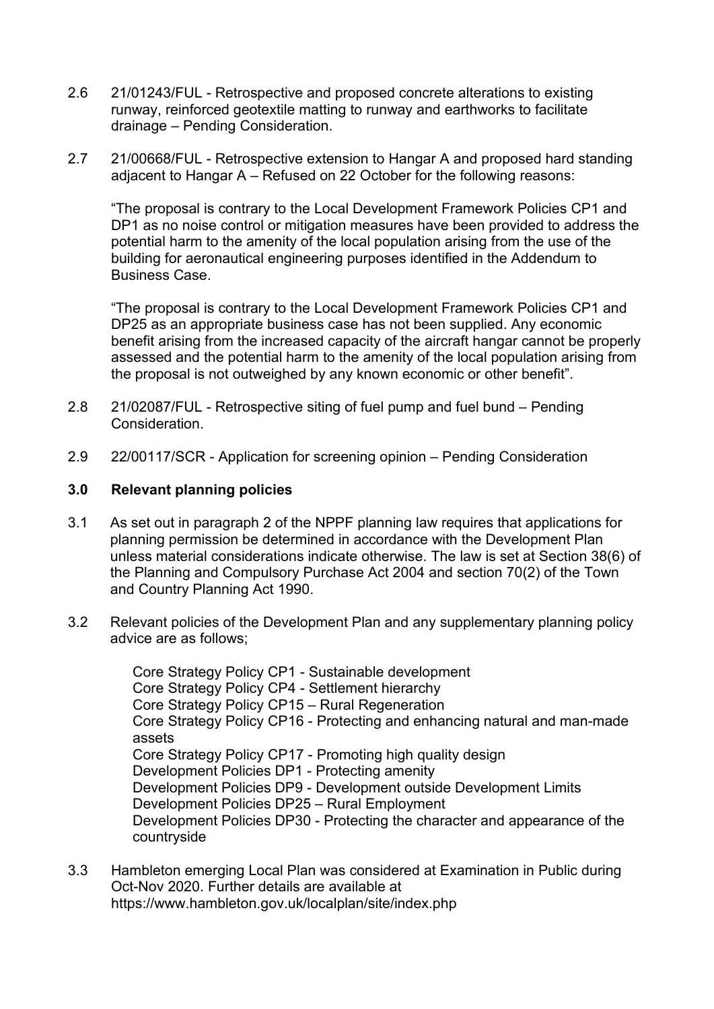- 2.6 21/01243/FUL Retrospective and proposed concrete alterations to existing runway, reinforced geotextile matting to runway and earthworks to facilitate drainage – Pending Consideration.
- 2.7 21/00668/FUL Retrospective extension to Hangar A and proposed hard standing adjacent to Hangar A – Refused on 22 October for the following reasons:

"The proposal is contrary to the Local Development Framework Policies CP1 and DP1 as no noise control or mitigation measures have been provided to address the potential harm to the amenity of the local population arising from the use of the building for aeronautical engineering purposes identified in the Addendum to Business Case.

"The proposal is contrary to the Local Development Framework Policies CP1 and DP25 as an appropriate business case has not been supplied. Any economic benefit arising from the increased capacity of the aircraft hangar cannot be properly assessed and the potential harm to the amenity of the local population arising from the proposal is not outweighed by any known economic or other benefit".

- 2.8 21/02087/FUL Retrospective siting of fuel pump and fuel bund Pending Consideration.
- 2.9 22/00117/SCR Application for screening opinion Pending Consideration

# **3.0 Relevant planning policies**

- 3.1 As set out in paragraph 2 of the NPPF planning law requires that applications for planning permission be determined in accordance with the Development Plan unless material considerations indicate otherwise. The law is set at Section 38(6) of the Planning and Compulsory Purchase Act 2004 and section 70(2) of the Town and Country Planning Act 1990.
- 3.2 Relevant policies of the Development Plan and any supplementary planning policy advice are as follows;

Core Strategy Policy CP1 - Sustainable development Core Strategy Policy CP4 - Settlement hierarchy Core Strategy Policy CP15 – Rural Regeneration Core Strategy Policy CP16 - Protecting and enhancing natural and man-made assets Core Strategy Policy CP17 - Promoting high quality design Development Policies DP1 - Protecting amenity Development Policies DP9 - Development outside Development Limits Development Policies DP25 – Rural Employment Development Policies DP30 - Protecting the character and appearance of the countryside

3.3 Hambleton emerging Local Plan was considered at Examination in Public during Oct-Nov 2020. Further details are available at https://www.hambleton.gov.uk/localplan/site/index.php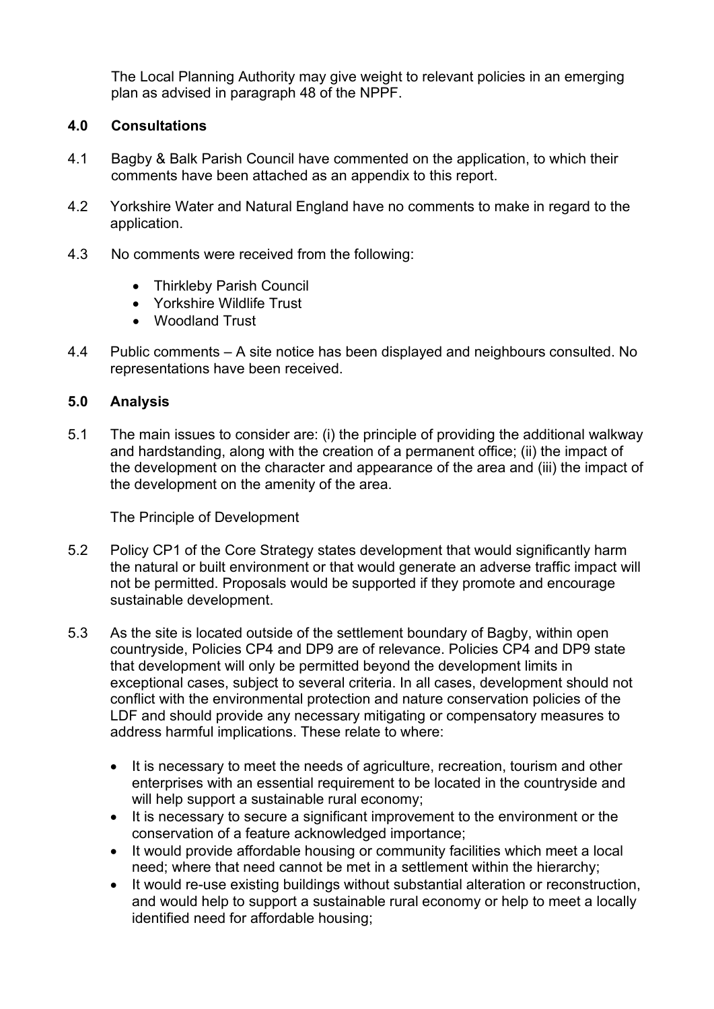The Local Planning Authority may give weight to relevant policies in an emerging plan as advised in paragraph 48 of the NPPF.

# **4.0 Consultations**

- 4.1 Bagby & Balk Parish Council have commented on the application, to which their comments have been attached as an appendix to this report.
- 4.2 Yorkshire Water and Natural England have no comments to make in regard to the application.
- 4.3 No comments were received from the following:
	- Thirkleby Parish Council
	- Yorkshire Wildlife Trust
	- Woodland Trust
- 4.4 Public comments A site notice has been displayed and neighbours consulted. No representations have been received.

### **5.0 Analysis**

5.1 The main issues to consider are: (i) the principle of providing the additional walkway and hardstanding, along with the creation of a permanent office; (ii) the impact of the development on the character and appearance of the area and (iii) the impact of the development on the amenity of the area.

The Principle of Development

- 5.2 Policy CP1 of the Core Strategy states development that would significantly harm the natural or built environment or that would generate an adverse traffic impact will not be permitted. Proposals would be supported if they promote and encourage sustainable development.
- 5.3 As the site is located outside of the settlement boundary of Bagby, within open countryside, Policies CP4 and DP9 are of relevance. Policies CP4 and DP9 state that development will only be permitted beyond the development limits in exceptional cases, subject to several criteria. In all cases, development should not conflict with the environmental protection and nature conservation policies of the LDF and should provide any necessary mitigating or compensatory measures to address harmful implications. These relate to where:
	- It is necessary to meet the needs of agriculture, recreation, tourism and other enterprises with an essential requirement to be located in the countryside and will help support a sustainable rural economy;
	- It is necessary to secure a significant improvement to the environment or the conservation of a feature acknowledged importance;
	- It would provide affordable housing or community facilities which meet a local need; where that need cannot be met in a settlement within the hierarchy;
	- It would re-use existing buildings without substantial alteration or reconstruction, and would help to support a sustainable rural economy or help to meet a locally identified need for affordable housing;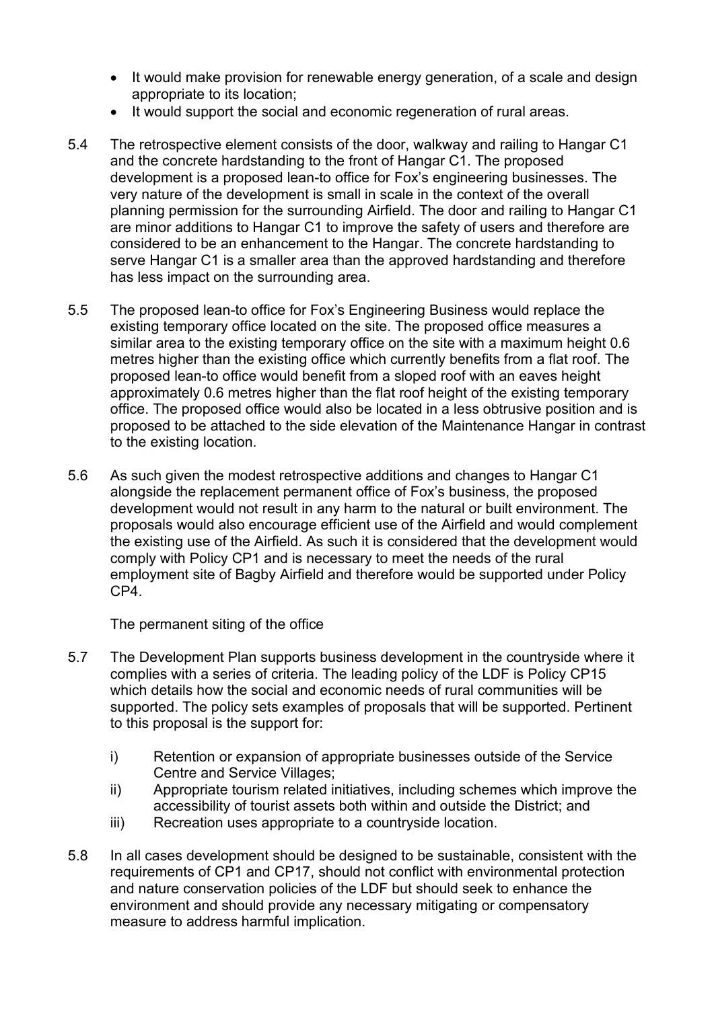- It would make provision for renewable energy generation, of a scale and design appropriate to its location;
- It would support the social and economic regeneration of rural areas.
- 5.4 The retrospective element consists of the door, walkway and railing to Hangar C1 and the concrete hardstanding to the front of Hangar C1. The proposed development is a proposed lean-to office for Fox's engineering businesses. The very nature of the development is small in scale in the context of the overall planning permission for the surrounding Airfield. The door and railing to Hangar C1 are minor additions to Hangar C1 to improve the safety of users and therefore are considered to be an enhancement to the Hangar. The concrete hardstanding to serve Hangar C1 is a smaller area than the approved hardstanding and therefore has less impact on the surrounding area.
- 5.5 The proposed lean-to office for Fox's Engineering Business would replace the existing temporary office located on the site. The proposed office measures a similar area to the existing temporary office on the site with a maximum height 0.6 metres higher than the existing office which currently benefits from a flat roof. The proposed lean-to office would benefit from a sloped roof with an eaves height approximately 0.6 metres higher than the flat roof height of the existing temporary office. The proposed office would also be located in a less obtrusive position and is proposed to be attached to the side elevation of the Maintenance Hangar in contrast to the existing location.
- 5.6 As such given the modest retrospective additions and changes to Hangar C1 alongside the replacement permanent office of Fox's business, the proposed development would not result in any harm to the natural or built environment. The proposals would also encourage efficient use of the Airfield and would complement the existing use of the Airfield. As such it is considered that the development would comply with Policy CP1 and is necessary to meet the needs of the rural employment site of Bagby Airfield and therefore would be supported under Policy CP4.

The permanent siting of the office

- 5.7 The Development Plan supports business development in the countryside where it complies with a series of criteria. The leading policy of the LDF is Policy CP15 which details how the social and economic needs of rural communities will be supported. The policy sets examples of proposals that will be supported. Pertinent to this proposal is the support for:
	- i) Retention or expansion of appropriate businesses outside of the Service Centre and Service Villages;
	- ii) Appropriate tourism related initiatives, including schemes which improve the accessibility of tourist assets both within and outside the District; and
	- iii) Recreation uses appropriate to a countryside location.
- 5.8 In all cases development should be designed to be sustainable, consistent with the requirements of CP1 and CP17, should not conflict with environmental protection and nature conservation policies of the LDF but should seek to enhance the environment and should provide any necessary mitigating or compensatory measure to address harmful implication.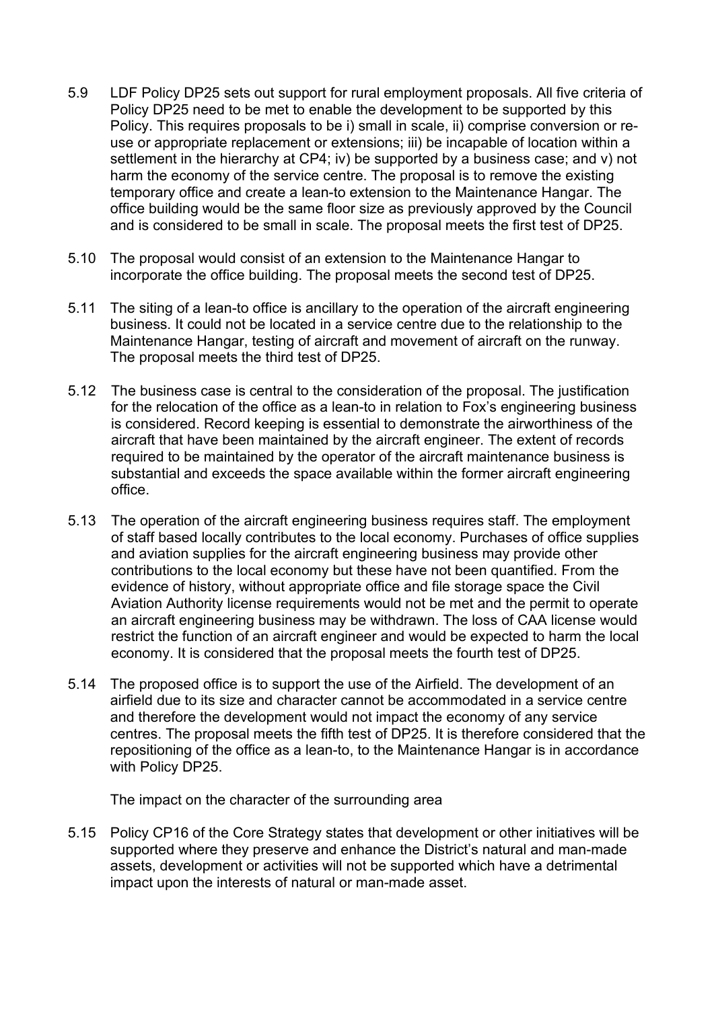- 5.9 LDF Policy DP25 sets out support for rural employment proposals. All five criteria of Policy DP25 need to be met to enable the development to be supported by this Policy. This requires proposals to be i) small in scale, ii) comprise conversion or reuse or appropriate replacement or extensions; iii) be incapable of location within a settlement in the hierarchy at CP4; iv) be supported by a business case; and v) not harm the economy of the service centre. The proposal is to remove the existing temporary office and create a lean-to extension to the Maintenance Hangar. The office building would be the same floor size as previously approved by the Council and is considered to be small in scale. The proposal meets the first test of DP25.
- 5.10 The proposal would consist of an extension to the Maintenance Hangar to incorporate the office building. The proposal meets the second test of DP25.
- 5.11 The siting of a lean-to office is ancillary to the operation of the aircraft engineering business. It could not be located in a service centre due to the relationship to the Maintenance Hangar, testing of aircraft and movement of aircraft on the runway. The proposal meets the third test of DP25.
- 5.12 The business case is central to the consideration of the proposal. The justification for the relocation of the office as a lean-to in relation to Fox's engineering business is considered. Record keeping is essential to demonstrate the airworthiness of the aircraft that have been maintained by the aircraft engineer. The extent of records required to be maintained by the operator of the aircraft maintenance business is substantial and exceeds the space available within the former aircraft engineering office.
- 5.13 The operation of the aircraft engineering business requires staff. The employment of staff based locally contributes to the local economy. Purchases of office supplies and aviation supplies for the aircraft engineering business may provide other contributions to the local economy but these have not been quantified. From the evidence of history, without appropriate office and file storage space the Civil Aviation Authority license requirements would not be met and the permit to operate an aircraft engineering business may be withdrawn. The loss of CAA license would restrict the function of an aircraft engineer and would be expected to harm the local economy. It is considered that the proposal meets the fourth test of DP25.
- 5.14 The proposed office is to support the use of the Airfield. The development of an airfield due to its size and character cannot be accommodated in a service centre and therefore the development would not impact the economy of any service centres. The proposal meets the fifth test of DP25. It is therefore considered that the repositioning of the office as a lean-to, to the Maintenance Hangar is in accordance with Policy DP25.

The impact on the character of the surrounding area

5.15 Policy CP16 of the Core Strategy states that development or other initiatives will be supported where they preserve and enhance the District's natural and man-made assets, development or activities will not be supported which have a detrimental impact upon the interests of natural or man-made asset.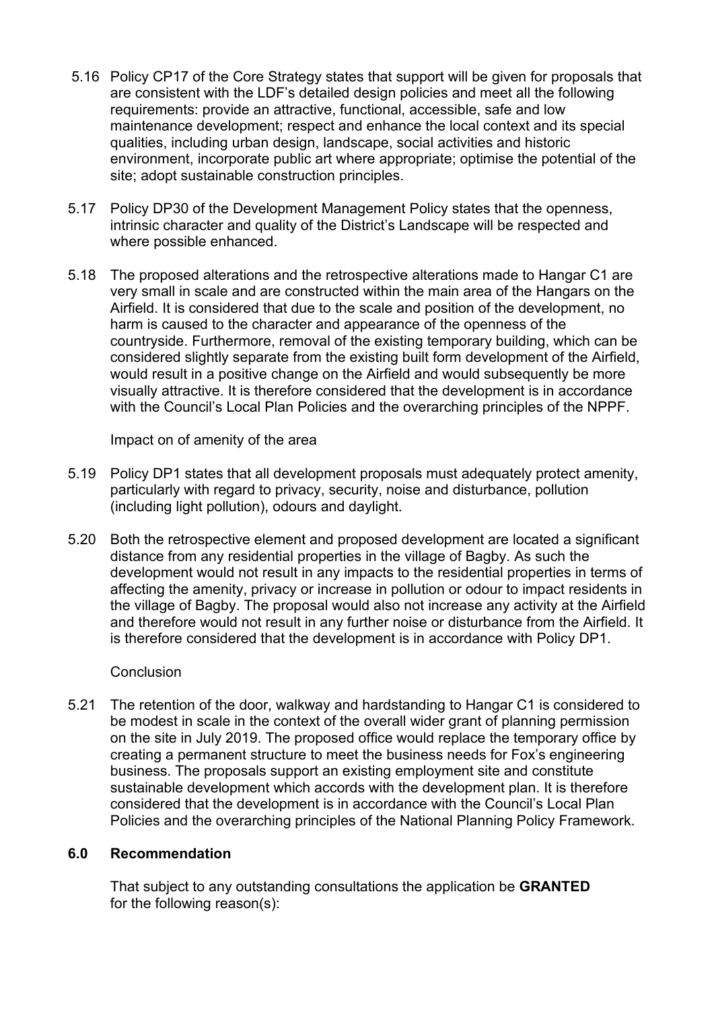- 5.16 Policy CP17 of the Core Strategy states that support will be given for proposals that are consistent with the LDF's detailed design policies and meet all the following requirements: provide an attractive, functional, accessible, safe and low maintenance development; respect and enhance the local context and its special qualities, including urban design, landscape, social activities and historic environment, incorporate public art where appropriate; optimise the potential of the site; adopt sustainable construction principles.
- 5.17 Policy DP30 of the Development Management Policy states that the openness, intrinsic character and quality of the District's Landscape will be respected and where possible enhanced.
- 5.18 The proposed alterations and the retrospective alterations made to Hangar C1 are very small in scale and are constructed within the main area of the Hangars on the Airfield. It is considered that due to the scale and position of the development, no harm is caused to the character and appearance of the openness of the countryside. Furthermore, removal of the existing temporary building, which can be considered slightly separate from the existing built form development of the Airfield, would result in a positive change on the Airfield and would subsequently be more visually attractive. It is therefore considered that the development is in accordance with the Council's Local Plan Policies and the overarching principles of the NPPF.

Impact on of amenity of the area

- 5.19 Policy DP1 states that all development proposals must adequately protect amenity, particularly with regard to privacy, security, noise and disturbance, pollution (including light pollution), odours and daylight.
- 5.20 Both the retrospective element and proposed development are located a significant distance from any residential properties in the village of Bagby. As such the development would not result in any impacts to the residential properties in terms of affecting the amenity, privacy or increase in pollution or odour to impact residents in the village of Bagby. The proposal would also not increase any activity at the Airfield and therefore would not result in any further noise or disturbance from the Airfield. It is therefore considered that the development is in accordance with Policy DP1.

### **Conclusion**

5.21 The retention of the door, walkway and hardstanding to Hangar C1 is considered to be modest in scale in the context of the overall wider grant of planning permission on the site in July 2019. The proposed office would replace the temporary office by creating a permanent structure to meet the business needs for Fox's engineering business. The proposals support an existing employment site and constitute sustainable development which accords with the development plan. It is therefore considered that the development is in accordance with the Council's Local Plan Policies and the overarching principles of the National Planning Policy Framework.

### **6.0 Recommendation**

That subject to any outstanding consultations the application be **GRANTED**  for the following reason(s):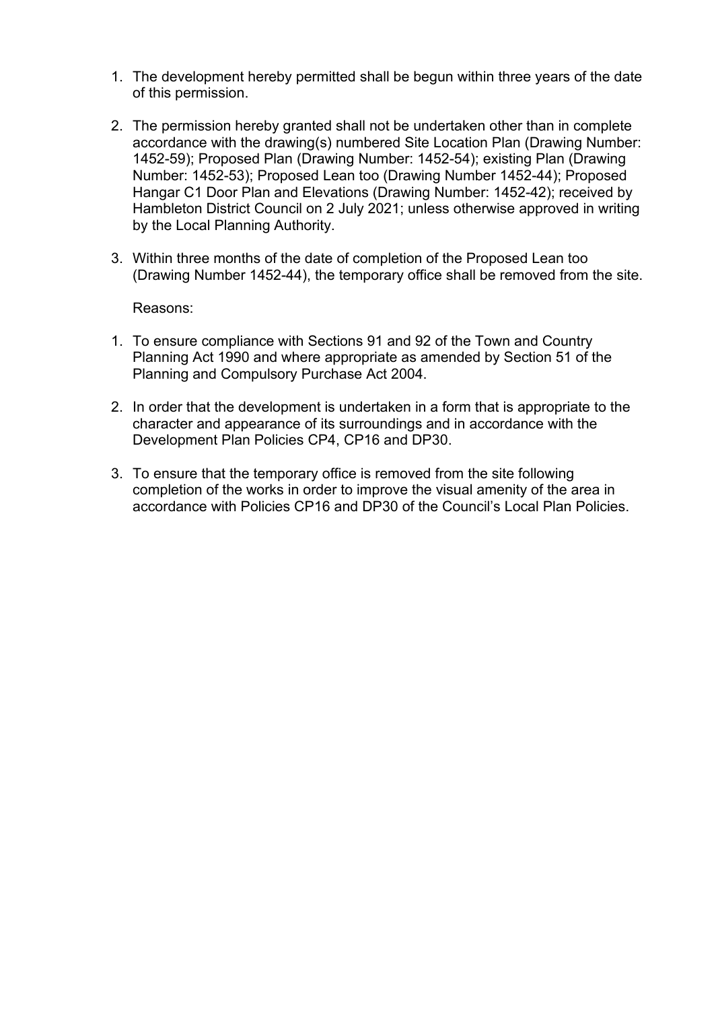- 1. The development hereby permitted shall be begun within three years of the date of this permission.
- 2. The permission hereby granted shall not be undertaken other than in complete accordance with the drawing(s) numbered Site Location Plan (Drawing Number: 1452-59); Proposed Plan (Drawing Number: 1452-54); existing Plan (Drawing Number: 1452-53); Proposed Lean too (Drawing Number 1452-44); Proposed Hangar C1 Door Plan and Elevations (Drawing Number: 1452-42); received by Hambleton District Council on 2 July 2021; unless otherwise approved in writing by the Local Planning Authority.
- 3. Within three months of the date of completion of the Proposed Lean too (Drawing Number 1452-44), the temporary office shall be removed from the site.

Reasons:

- 1. To ensure compliance with Sections 91 and 92 of the Town and Country Planning Act 1990 and where appropriate as amended by Section 51 of the Planning and Compulsory Purchase Act 2004.
- 2. In order that the development is undertaken in a form that is appropriate to the character and appearance of its surroundings and in accordance with the Development Plan Policies CP4, CP16 and DP30.
- 3. To ensure that the temporary office is removed from the site following completion of the works in order to improve the visual amenity of the area in accordance with Policies CP16 and DP30 of the Council's Local Plan Policies.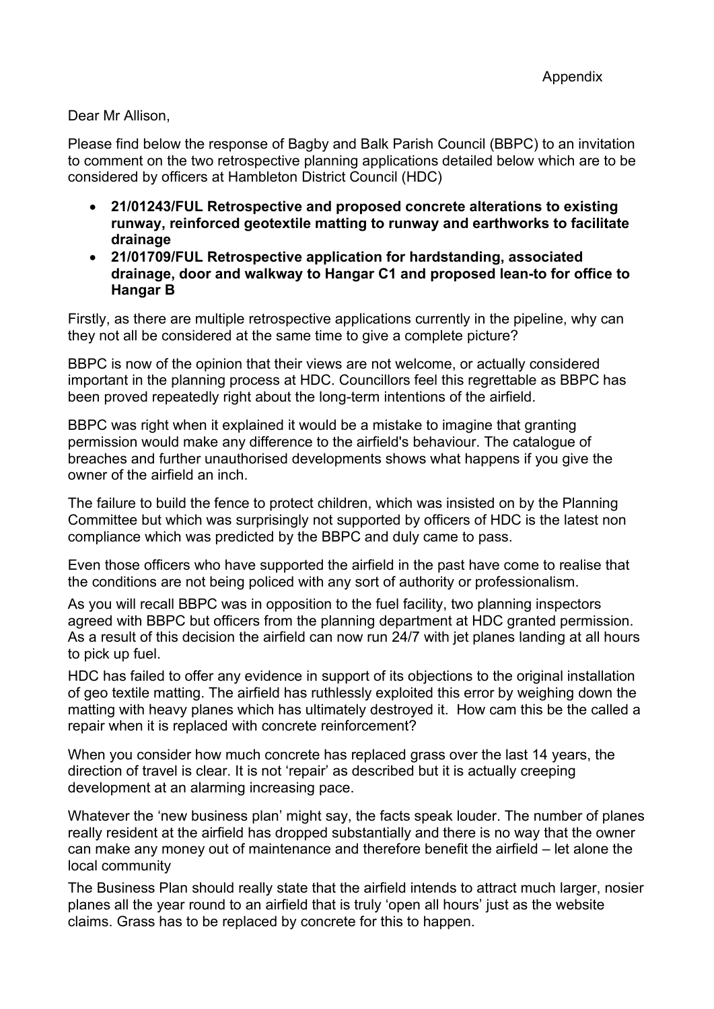Dear Mr Allison,

Please find below the response of Bagby and Balk Parish Council (BBPC) to an invitation to comment on the two retrospective planning applications detailed below which are to be considered by officers at Hambleton District Council (HDC)

- **21/01243/FUL Retrospective and proposed concrete alterations to existing runway, reinforced geotextile matting to runway and earthworks to facilitate drainage**
- **21/01709/FUL Retrospective application for hardstanding, associated drainage, door and walkway to Hangar C1 and proposed lean-to for office to Hangar B**

Firstly, as there are multiple retrospective applications currently in the pipeline, why can they not all be considered at the same time to give a complete picture?

BBPC is now of the opinion that their views are not welcome, or actually considered important in the planning process at HDC. Councillors feel this regrettable as BBPC has been proved repeatedly right about the long-term intentions of the airfield.

BBPC was right when it explained it would be a mistake to imagine that granting permission would make any difference to the airfield's behaviour. The catalogue of breaches and further unauthorised developments shows what happens if you give the owner of the airfield an inch.

The failure to build the fence to protect children, which was insisted on by the Planning Committee but which was surprisingly not supported by officers of HDC is the latest non compliance which was predicted by the BBPC and duly came to pass.

Even those officers who have supported the airfield in the past have come to realise that the conditions are not being policed with any sort of authority or professionalism.

As you will recall BBPC was in opposition to the fuel facility, two planning inspectors agreed with BBPC but officers from the planning department at HDC granted permission. As a result of this decision the airfield can now run 24/7 with jet planes landing at all hours to pick up fuel.

HDC has failed to offer any evidence in support of its objections to the original installation of geo textile matting. The airfield has ruthlessly exploited this error by weighing down the matting with heavy planes which has ultimately destroyed it. How cam this be the called a repair when it is replaced with concrete reinforcement?

When you consider how much concrete has replaced grass over the last 14 years, the direction of travel is clear. It is not 'repair' as described but it is actually creeping development at an alarming increasing pace.

Whatever the 'new business plan' might say, the facts speak louder. The number of planes really resident at the airfield has dropped substantially and there is no way that the owner can make any money out of maintenance and therefore benefit the airfield – let alone the local community

The Business Plan should really state that the airfield intends to attract much larger, nosier planes all the year round to an airfield that is truly 'open all hours' just as the website claims. Grass has to be replaced by concrete for this to happen.